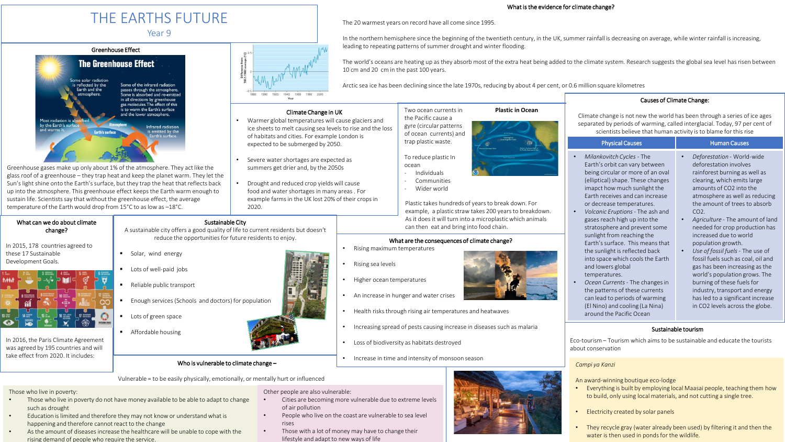# THE EARTHS FUTURE

Year 9



Greenhouse gases make up only about 1% of the atmosphere. They act like the glass roof of a greenhouse – they trap heat and keep the planet warm. They let the Sun's light shine onto the Earth's surface, but they trap the heat that reflects back up into the atmosphere. This greenhouse effect keeps the Earth warm enough to sustain life. Scientists say that without the greenhouse effect, the average temperature of the Earth would drop from 15°C to as low as –18°C.

## change? In 2015, 178 countries agreed to

What can we do about climate

these 17 Sustainable Development Goals.



In 2016, the Paris Climate Agreement was agreed by 195 countries and will take effect from 2020. It includes:

The world's oceans are heating up as they absorb most of the extra heat being added to the climate system. Research suggests the global sea level has risen between 10 cm and 20 cm in the past 100 years.

Arctic sea ice has been declining since the late 1970s, reducing by about 4 per cent, or 0.6 million square kilometres

#### Climate Change in UK

- Warmer global temperatures will cause glaciers and ice sheets to melt causing sea levels to rise and the loss of habitats and cities. For example London is expected to be submerged by 2050.
- Severe water shortages are expected as summers get drier and, by the 2050s
- Drought and reduced crop yields will cause food and water shortages in many areas . For example farms in the UK lost 20% of their crops in 2020.

### Two ocean currents in **Plastic in Ocean**

- 
- Wider world

Plastic takes hundreds of years to break down. For example, a plastic straw takes 200 years to breakdown. As it does it will turn into a microplastic which animals Sustainable City<br>design then eat and bring into food chain.

### What are the consequences of climate change?

- Higher ocean temperatures
- An increase in hunger and water crises
- Health risks through rising air temperatures and heatwaves
- Increasing spread of pests causing increase in diseases such as malaria
- Loss of biodiversity as habitats destroyed
- Increase in time and intensity of monsoon season

Enough services (Schools and doctors) for population

A sustainable city offers a good quality of life to current residents but doesn't reduce the opportunities for future residents to enjoy.

#### Those who live in poverty:

- Those who live in poverty do not have money available to be able to adapt to change such as drought
- Education is limited and therefore they may not know or understandwhat is happening and therefore cannot react to the change
- As the amount of diseases increase the healthcare will be unable to cope with the rising demand of people who require the service.

Other people are also vulnerable:

- Cities are becoming more vulnerable due to extreme levels of air pollution
- People who live on the coast are vulnerable to sea level rises
- Those with a lot of money may have to change their lifestyle and adapt to new ways of life

### What is the evidence for climate change?

In the northern hemisphere since the beginning of the twentieth century, in the UK, summer rainfall is decreasing on average, while winter rainfall is increasing,



Climate change is not new the world has been through a series of ice ages separated by periods of warming, called interglacial. Today, 97 per cent of scientists believe that human activity is to blame for this rise

| cientists believe that haihan activity is to bianne for this hise                                                                                                                                                                                                                                                                                                                                                                                                                                                        |                                                                                                                                                                                                                                                                                                                                                                                                                                                                                                  |
|--------------------------------------------------------------------------------------------------------------------------------------------------------------------------------------------------------------------------------------------------------------------------------------------------------------------------------------------------------------------------------------------------------------------------------------------------------------------------------------------------------------------------|--------------------------------------------------------------------------------------------------------------------------------------------------------------------------------------------------------------------------------------------------------------------------------------------------------------------------------------------------------------------------------------------------------------------------------------------------------------------------------------------------|
| <b>Physical Causes</b>                                                                                                                                                                                                                                                                                                                                                                                                                                                                                                   | <b>Human Causes</b>                                                                                                                                                                                                                                                                                                                                                                                                                                                                              |
| Milankovitch Cycles - The<br>Earth's orbit can vary between<br>being circular or more of an oval<br>(elliptical) shape. These changes<br>imapct how much sunlight the<br>Farth receives and can increase<br>or decrease temperatures.<br>Volcanic Eruptions - The ash and<br>gases reach high up into the<br>stratosphere and prevent some<br>sunlight from reaching the<br>Earth's surface. This means that<br>the sunlight is reflected back<br>into space which cools the Earth<br>and lowers global<br>temperatures. | Deforestation - World-wide<br>deforestation involves<br>rainforest burning as well as<br>clearing, which emits large<br>amounts of CO2 into the<br>atmosphere as well as reducing<br>the amount of trees to absorb<br>$CO2$ .<br>Agriculture - The amount of land<br>needed for crop production has<br>increased due to world<br>population growth.<br>Use of fossil fuels - The use of<br>fossil fuels such as coal, oil and<br>gas has been increasing as the<br>world's population grows. The |

- *Ocean Currents*  The changes in the patterns of these currents can lead to periods of warming (El Nino) and cooling (La Nina) around the Pacific Ocean
- world's population grows. The burning of these fuels for industry, transport and energy has led to a significant increase

#### Sustainable tourism

Eco-tourism – Tourism which aims to be sustainable and educate the tourists about conservation

#### *Campi ya Kanzi*

An award-winning boutique eco-lodge

- Everything is built by employing local Maasai people, teaching them how to build, only using local materials, and not cutting a single tree.
- Electricity created by solar panels
- They recycle gray (water already been used) by filtering it and then the water is then used in ponds for the wildlife.





- -

Who is vulnerable to climate change –

- of ocean currents) and trap plastic waste.
	-

- Communities

The 20 warmest years on record have all come since 1995.

leading to repeating patterns of summer drought and winter flooding.

#### To reduce plastic In ocean - Individuals

in CO2 levels across the globe.

- 
- 
- 
- 
- 
- 

Vulnerable = to be easily physically, emotionally, or mentally hurt or influenced

Solar, wind energy Lots of well-paid jobs

Reliable public transport

Lots of green space

**Affordable housing** 

- 
-